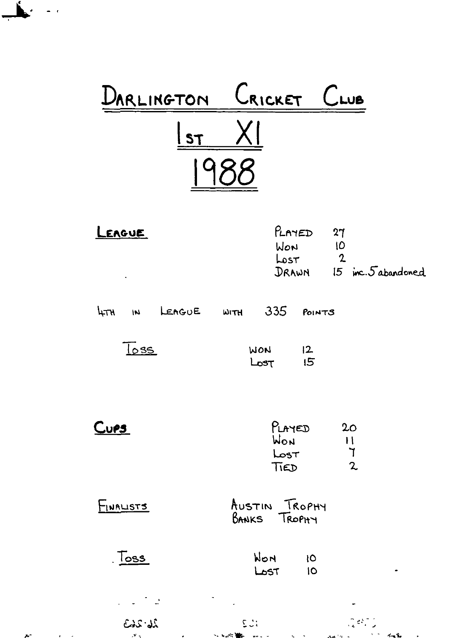| DARLINGTON                                     | CRICKET                                    | $C$ LUB                                             |
|------------------------------------------------|--------------------------------------------|-----------------------------------------------------|
| <b>ST</b>                                      |                                            |                                                     |
| LEAGUE                                         | $P_{L}$ AYED<br>WON<br>Lost<br>DRAWN       | 27<br>10<br>$\mathbf{2}$<br>$15$ inc. $5$ abandoned |
| LEAGUE<br>ᡰ᠍ <sub>ᠮ</sub> ᠇ᠢ<br>$\overline{M}$ | 335<br>WITH                                | POINTS                                              |
| $\log$                                         | 2 <br>WON<br>15<br>Lost                    |                                                     |
| <u>Cups </u>                                   | PLAYED<br>WON<br>Loss <sub>T</sub><br>TIED | 20<br>$\mathbf{H}$<br>ך<br>$\mathbf{z}$             |
| INALISTS                                       | AUSTIN TROPHY<br><b>BANKS</b> TROPHY       |                                                     |
| <u>, Toss</u>                                  | WON<br>10<br>LOST<br>10                    | ۰                                                   |
|                                                |                                            |                                                     |
| 26-263<br>$\mathbf{v}$ .                       | $\sum_{i=1}^{n}$<br>トランド 重ね                |                                                     |

 $\mathbf{z}^{\mu}$ **Contract Contract** 

 $\mathbf{L}$ 

j.

 $\ddot{\bullet}$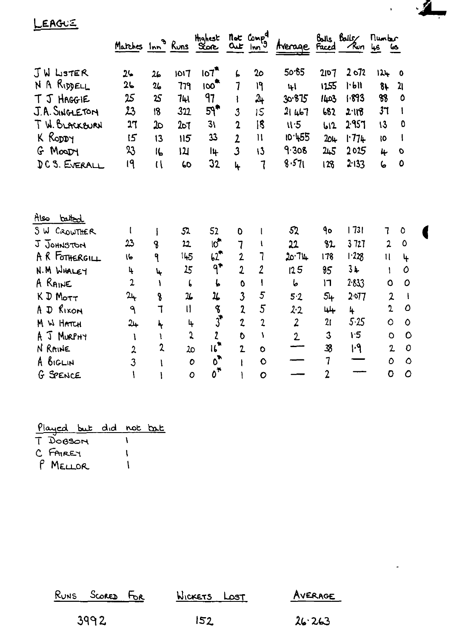LEAGUE

|                | Matches Inn <sup>9</sup> Runs Score |                  |               |                                |                     | not Compd<br><u>Out</u> Inn <sup>9</sup> | rverage        | Faced          | $Bals$ , $Balls$<br>∕ใับก | numbr<br><u>lus</u> | حما                                |
|----------------|-------------------------------------|------------------|---------------|--------------------------------|---------------------|------------------------------------------|----------------|----------------|---------------------------|---------------------|------------------------------------|
| JW LISTER      | $2 -$                               | 26               | 1017          | 107 <sup>th</sup>              | L                   | 20                                       | 50.65          | 2107           | 2072                      | 124                 | $\mathbf 0$                        |
| N A RIDDELL    | 26                                  | $\mathbf{z}_b$   | 779           | $100^{\circ}$                  | 7                   | ۱۹                                       | 41             | 1255           | 1.611                     | $8+$                | 21                                 |
| T J HAGGIE     | 25                                  | 25               | 74)           | 97                             | ł                   | $\lambda_{\text{+}}$                     | 30.875         | 1403           | 1.893                     | 88                  | 0                                  |
| J.A. SINGLETON | 23                                  | 18               | 322           | 59*                            | 3                   | 15                                       | 21467          | 682            | 2.118                     | 37                  | 1                                  |
| T W. BLACKBURN | 17                                  | သ                | 207           | 31                             | $\overline{2}$      | 18                                       | 11.5           | b12            | 2957                      | 13                  | 0                                  |
| K RODDY        | 15                                  | 13               | 115           | 33                             | $\overline{2}$      | $\mathbf{1}$                             | 10 455         | 204            | 1714                      | 10                  | $\mathbf{I}$                       |
| MOODY<br>G.    | 23                                  | 16               | 121           | Ių                             | $\overline{3}$      | 13                                       | 9.308          | 215            | 2025                      | 4                   | O                                  |
| DC S. EVERALL  | 19                                  | $\mathfrak{a}$   | 60            | 32                             | 4                   | 1                                        | 8.571          | 128            | 2.133                     | 6                   | 0                                  |
| तेखि<br>batted |                                     |                  |               |                                |                     |                                          |                |                |                           |                     |                                    |
| SW CROWTHER    | t                                   | I                | 52            | 52                             | 0                   |                                          | 52             | ٩o             | 73                        | $\mathbf 7$         | $\circ$                            |
| J JOHNSTON     | 23                                  | 8                | 22            | <u>।</u> ୁ                     | 7                   |                                          | 22             | 82             | 3727                      | $\overline{2}$      | $\mathbf 0$                        |
| A R FOTHERGILL | 16                                  | ٩                | 145           | $b2$ <sup>*</sup>              | $\overline{2}$      | 7                                        | 20.74          | 178            | 123                       | $\mathbf{1}$        | 4                                  |
| N.M WHALEY     | 4                                   | $\ddot{\bullet}$ | 15            | $9^{\bullet}$                  | $\overline{2}$      | $\overline{2}$                           | 125            | 95             | 3⊬                        | 1                   | $\mathcal O$                       |
| A RAINE        | $\mathfrak{p}$                      | ١                | L             | Ļ,                             | $\ddot{\mathbf{O}}$ |                                          | 6              | רו             | 2.833                     | $\circ$             | 0                                  |
| K D MOTT       | 24                                  | 8                | 26            | 1                              | $\overline{3}$      | 5                                        | 5.2            | 54             | 2.077                     |                     | $\overline{2}$<br>$\mathbf{I}$     |
| A D RIXON      | ٩                                   | $\overline{1}$   | II.           | S                              | $\overline{2}$      | 5                                        | 2.2            | 44             | 4                         | $\mathbf 2$         | $\mathcal{O}$                      |
| M W HATCH      | 24                                  | Ľ                | $\frac{1}{2}$ | $\vec{3}$                      | $\overline{c}$      | $\overline{c}$                           | $\overline{2}$ | 21             | 5.25                      | Ō                   | $\mathsf{\Omega}$                  |
| J Murphy<br>A  | ١                                   | f.               | 5             | $\overline{\mathbf{z}}$        | O                   | ١                                        | $\mathbf{2}$   | 3              | 1:5                       |                     | $\circ$<br>O                       |
| N RAINE        | $\overline{z}$                      | $\mathbf{z}$     | 20            | $\mathbf{u}$                   | $\overline{2}$      | Ō                                        |                | 38             | H                         |                     | $\mathbf 0$<br>$\mathbf{2}$        |
| BIGLIN<br>A    | 3                                   |                  |               | $\overline{0}$<br>$\mathbf{o}$ |                     | Ò                                        |                | $\overline{1}$ |                           |                     | $\mathbf 0$<br>$\ddot{\mathsf{o}}$ |
| G SPENCE       |                                     |                  |               | $0^{\frac{1}{1}}$<br>Ō         |                     | $\circ$                                  |                | $\overline{2}$ |                           | Ō                   | $\mathcal{O}$                      |

 $\mathcal{L}$ 

 $\overline{\phantom{0}}$ 

ı

 $\hat{\mathcal{L}}$ 

| <u>Played but did not bat</u> |  |  |
|-------------------------------|--|--|
| MOBOA T                       |  |  |
| C FAIREY                      |  |  |

P MELLOR 1

| RUNS SCORED FOR | WICKETS LOST | AVERAGE |
|-----------------|--------------|---------|
| 3992            | 152          | 26.263  |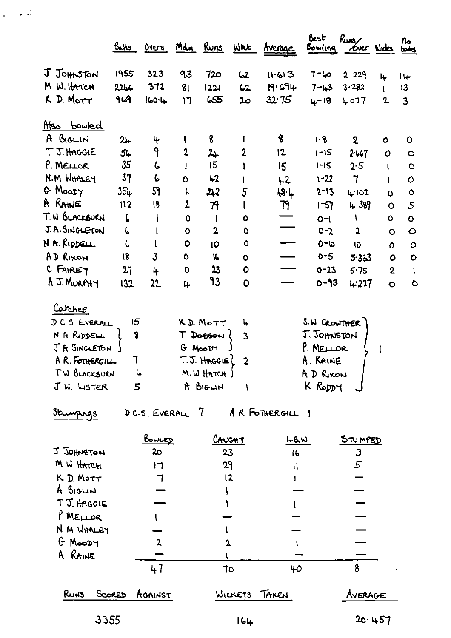|                    | <u>Bahs</u>    |              | <u>Overs Mdn Runs</u> |             | WRE            | <u>Average</u> | Best<br>Bowling | $R_{\text{max}}$<br>over white |                | n.<br>bolls   |
|--------------------|----------------|--------------|-----------------------|-------------|----------------|----------------|-----------------|--------------------------------|----------------|---------------|
| J. JOHNSTON        | 1955           | 323          | 93                    | 720         | 2ما            | 11.613         | 1-40            | 2 2 2 9                        | 4              | $1 +$         |
| M W. HATCH         | 2246           | 372          | 81                    | 1221        | 62             | 19.694         | $7 - 13$        | 3.282                          |                | 13            |
| $D.$ Morr<br>K.    | <b>964</b>     | $160 - 4$    | 17                    | 655         | عہ             | 32.75          | $4 - 18$        | 4077                           | $\overline{2}$ | 3             |
| <u>Also bowled</u> |                |              |                       |             |                |                |                 |                                |                |               |
| A BIGLIN           | 24             | 4            |                       | 8           |                | 8              | $1 - 8$         | $\mathbf 2$                    | O              | $\circ$       |
| T J. HAGGIE        | 54             | 9            | $\mathbf{2}$          | ᄮ           | $\mathbf{2}$   | 12             | $1 - 15$        | 2.667                          | $\mathbf O$    | $\circ$       |
| P. MELLOR          | $\mathfrak{F}$ | 6            |                       | 15          |                | 15             | 145             | 2.5                            | U              | $\circ$       |
| N.M WHALEY         | 37             | 6            | $\mathbf 0$           | $+2$        | I              | $+2$           | $1 - 22$        | $\mathbf 7$                    |                | $\mathcal{O}$ |
| G Moady            | $35+$          | 59           | L                     | جبد         | $\overline{5}$ | 48.L           | $2 - 13$        | <b>4'102</b>                   | $\bullet$      | $\mathbf{o}$  |
| A RAINE            | 112            | 18           | $\overline{2}$        | 79          | ł              | 79             | $1 - 57$        | 4389                           | $\circ$        | 5             |
| T. W BLACKBURN     | 6              |              | O                     | $\mathbf l$ | $\bullet$      |                | $O - 1$         | V                              | $\circ$        | Ō             |
| J.A. SINGLETON     | ι              |              | $\mathbf o$           | $\mathbf 2$ | O              |                | $0 - 2$         | $\overline{a}$                 | $\circ$        | $\circ$       |
| N A. RIDDELL       | ζ              |              | $\mathbf o$           | 10          | $\bullet$      |                | $0 - 10$        | 10                             | 0              | $\circ$       |
| AD RIXON           | 18             | $\mathbf{3}$ | $\mathbf 0$           | 16          | $\bullet$      |                | $0 - 5$         | 5.333                          | $\circ$        | $\mathbf{o}$  |
| C FAIREY           | 27             | 4            | $\mathbf 0$           | 23          | 0              |                | $0 - 13$        | 5.75                           | $\overline{2}$ | 1             |
| A J. MURPHY        | 132            | 22           | 4                     | 93          | $\mathbf 0$    |                | $0 - 93$        | 4.227                          | $\bullet$      | $\circ$       |
| Carches            |                |              |                       |             |                |                |                 |                                |                |               |
| DCS EVERALL        | 15             |              |                       | K.D. MOTT   | 4              |                | S.W CROWTHER )  |                                |                |               |

| J Y Y YENTIL    | r » ror            | <b>S' MUSHITER</b> |  |
|-----------------|--------------------|--------------------|--|
| N A RIDDELL     | DOBSON             | J. JOHNSTON        |  |
| JA SINGLETON    | G MOODY            | P. MELLOR          |  |
| A R. FOTHERGILL | $T.S.$ HAGGIE $2$  | A. RAINE           |  |
| TW BLACKBURN    | $M.W$ HATCH $\int$ | A D RIXON          |  |
| $J$ W. LISTER   | A BIGLIN           | K Roppy            |  |
|                 |                    |                    |  |

 $\frac{1}{2} \left( \frac{1}{2} \frac{d \Delta}{d \Delta} \right) = 0.01$ 

Stumpings DC.S. EVERALL 7 AR FOTHERGILL 1

|                       | <u>Bowled</u>  | CAUGHT        | LBW     | STUMPED |
|-----------------------|----------------|---------------|---------|---------|
| U JOHNSTON            | 2 <sub>O</sub> | 23            | 16      |         |
| M W HATCH             | דו             | 29            | π       | 5       |
| K D. MOTT             |                | 12            |         |         |
| A BIGLIN              |                |               |         |         |
| TJ. HAGGIE            |                |               |         |         |
| $P$ MELLOR            |                |               |         |         |
| N M WHALEY            |                |               |         |         |
| $G$ Moody             | 2              | ŋ             |         |         |
| A. RAINE              |                |               |         |         |
|                       | 47             | 7٥            | 40      |         |
| <b>RUNS</b><br>SCORED | AGAINST        | WICKETS TAKEN | Average |         |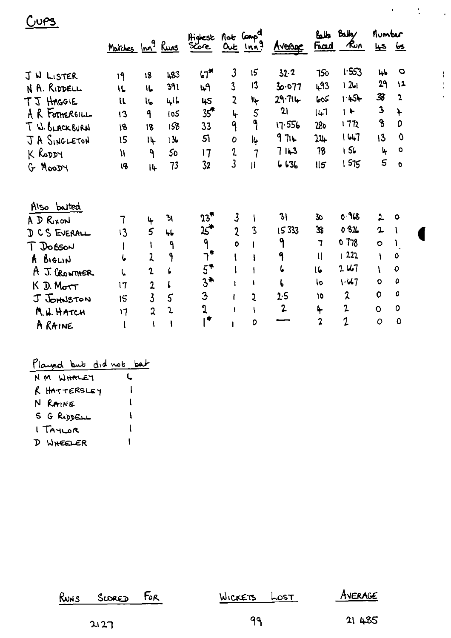|                                                                                                                                   |                                                |                                                                       |                                              | Highest                                                        | Mot Comp <sup>al</sup>                                                  |                        |                                                     |                                                                 | Balls Balley                                                        | number                                                                                       |                                              |
|-----------------------------------------------------------------------------------------------------------------------------------|------------------------------------------------|-----------------------------------------------------------------------|----------------------------------------------|----------------------------------------------------------------|-------------------------------------------------------------------------|------------------------|-----------------------------------------------------|-----------------------------------------------------------------|---------------------------------------------------------------------|----------------------------------------------------------------------------------------------|----------------------------------------------|
|                                                                                                                                   | <u>Matches</u> Inn <sup>9</sup> Runs           |                                                                       |                                              | Sore                                                           | $OL$ $Inr3$                                                             |                        | Avenue                                              | <u>Frad</u>                                                     | ๛                                                                   | ڪيا                                                                                          | <u>ls</u>                                    |
| J W LISTER                                                                                                                        | 19                                             | 18                                                                    | 483                                          | $67$ <sup>*</sup>                                              | $\mathfrak{Z}$                                                          | 15                     | $32 - 2$                                            | 750                                                             | 1.553                                                               | 4 <sub>b</sub>                                                                               | O                                            |
| N A. RIDDELL                                                                                                                      | 11                                             | 16                                                                    | 391                                          | 49                                                             | $\overline{3}$                                                          | 13                     | 77ه∙ه3                                              | 493                                                             | $12 - 1$                                                            | 29                                                                                           | $\sqrt{2}$                                   |
| TJ HAGGIE                                                                                                                         | $\mathfrak{u}$                                 | IL                                                                    | لبراني                                       | 45                                                             | 2                                                                       | Ì4                     | 29.714                                              | २००                                                             | 1.454                                                               | 38                                                                                           | $\overline{\mathbf{z}}$                      |
| A R FOTHERGILL                                                                                                                    | $\overline{13}$                                | 9                                                                     | 105                                          | $35^{\circ}$                                                   | 4                                                                       | $\overline{S}$         | 21                                                  | 147                                                             | $\mathbf{H}$                                                        | $\mathbf{3}$                                                                                 | ┡                                            |
| T W. BLACKBURN                                                                                                                    | 18                                             | 18                                                                    | 158                                          | 33                                                             | 9                                                                       | 9                      | <b>556 קו</b>                                       | 28 <sub>0</sub>                                                 | 1772                                                                | $\boldsymbol{\delta}$                                                                        | D                                            |
| JA SINGLETON                                                                                                                      | 15                                             | 14                                                                    | 13.                                          | 51                                                             | 0                                                                       | I4                     | 971                                                 | $22 +$                                                          | 1647                                                                | 13                                                                                           | $\mathbf 0$                                  |
| K RODDY                                                                                                                           | $\mathfrak n$                                  | ٩                                                                     | 50                                           | 17                                                             | $\boldsymbol{2}$                                                        | $\overline{7}$         | $71 - 3$                                            | 78                                                              | 156                                                                 | 4                                                                                            | $\mathbf 0$                                  |
| G MOODY                                                                                                                           | 18                                             | 4                                                                     | 73                                           | 32                                                             | 3                                                                       | $\mathbf{H}$           | 6636                                                | 115                                                             | 1575                                                                | 5                                                                                            | O                                            |
| Also batted<br>A D RIXON<br>D CS EVERALL<br><b>DOBSON</b><br>A BIGLIN<br>A J. CROWTHER<br>$K$ D. Mort<br>J JOHNSTON<br>M.W. HATCH | 7<br>13<br>$\mathbf{I}$<br>ι<br>17<br>15<br>17 | 4<br>5<br>ŧ<br>2<br>$\mathbf{r}$<br>2<br>3<br>$\overline{\mathbf{2}}$ | ЪI<br>46<br>$\mathbf{q}$<br>۹<br>L<br>5<br>1 | $23*$<br><del>"</del> ک<br>٩<br>ר*<br>$5^*$<br>$3*$<br>3<br>ູງ | $\boldsymbol{3}$<br>$\overline{\mathfrak{c}}$<br>$\mathbf{o}$<br>ı<br>١ | Ł<br>$\mathbf{3}$<br>2 | 31<br>15333<br>۹<br>9<br>ι<br>2.5<br>$\overline{2}$ | 30<br>38<br>$\mathbf{7}$<br>$\mathbf{I}$<br>16<br>l٥<br>10<br>4 | 0.968<br>0.826<br>078<br>1222<br>2.41<br>$1 - 47$<br>$\lambda$<br>2 | $\mathbf{L}$<br>2<br>$\bullet$<br>1<br>$\mathbf{I}$<br>$\circ$<br>$\mathbf 0$<br>$\mathbf O$ | $\bullet$<br>$\mathbf o$<br>O<br>٥<br>0<br>0 |
| A RAINE                                                                                                                           |                                                |                                                                       |                                              |                                                                |                                                                         | 0                      |                                                     | $\overline{2}$                                                  | $\overline{1}$                                                      | $\circ$                                                                                      | $\circ$                                      |
|                                                                                                                                   |                                                |                                                                       |                                              |                                                                |                                                                         |                        |                                                     |                                                                 |                                                                     |                                                                                              |                                              |

 $\label{eq:2} \mathcal{A} = \mathcal{A} \mathcal{A} = \mathcal{A}$ 

 $\begin{array}{c} 1 \\ 1 \\ 2 \\ 3 \\ 4 \end{array}$ 

# Played but did not bat

 $C<sub>UPS</sub>$ 

| NM WHALEY    | L |
|--------------|---|
| R HATTERSLEY |   |
| N RAINE      | ı |
| S G RODELL   | ١ |
| I TAYLOR     | l |
| D WHEELER    |   |

| RUNS SCORED FOR | WICKETS LOST | AVERAGE |
|-----------------|--------------|---------|
| 2127            | ୍ରବ          | 21 485  |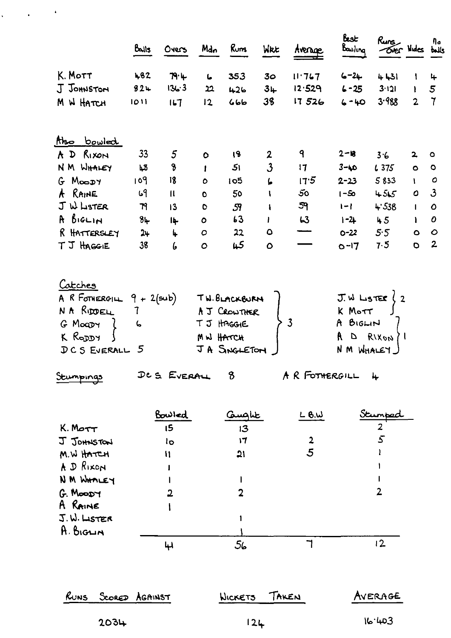| K. Mott<br>482<br>79.4<br>353<br>3 <sub>o</sub><br>11.767<br>$6 - 2 +$<br>4431<br>$\mathbf{L}$<br><b>J</b> JOHNSTON<br>136.3<br>824<br>12.529<br>$3+$<br>$6 - 25$<br>3.121<br>22<br>426<br>3.988<br>38<br>M W HATCH<br>17526<br>$6 - 40$<br>1011<br>167<br>12<br>666<br>htso bowled<br>A D RIXON<br>33<br>9<br>5<br>18<br>$2 - 18$<br>2<br>3.6<br>$\bullet$<br>8<br>$\mathbf{3}$<br>NM WHALEY<br>51<br>17<br>$3 - 40$<br>L3<br>6375<br>$\mathbf{I}$<br>109<br>18<br>$G$ Moody<br>17.5<br>5833<br>$2 - 23$<br>$\blacktriangleright$<br>105<br>$\circ$<br>A RAINE<br>69<br>50<br>455<br>$\mathbf{u}$<br>50<br>$1 - 50$<br>$\mathbf{I}$<br>$\bullet$<br>J W LISTER<br>59<br>$+538$<br>79<br>$1 - 1$<br>13<br>S <sup>q</sup><br>$\bullet$<br>$\mathbf{I}$<br>A BIGLIN<br>63<br>84<br>63<br>$1 - 2$<br>45<br>14<br>$\bullet$<br>Ł<br>R HATTERSLEY<br>5.5<br>4<br>$22$<br>$\bullet$<br>24<br>$\mathbf O$<br>$\overline{\phantom{0}}$<br>$O - 22$<br>45<br>T J HAGGIE<br>7.5<br>38<br>6<br>$O - 17$<br>$\bullet$<br>$\circ$<br><u>Catches</u><br>A R FOTHERGILL $9 + 2(\text{sub})$<br>$J.W$ ListER $(2)$<br>TW.BLACKBURN<br>NA RUDELL<br>K Mott<br>A J CROWTHER<br>$\mathbf 7$<br>$\overline{3}$<br>A BIGLIN<br>TJ HAGGIE<br>G MoaDY<br>$\zeta$<br>K RODDY<br>$\mathsf{A}$<br>D RIXON /1<br>MW HATCH<br>JA SNGLETON<br>N M WHALEY<br>DCS EVERALL 5<br>DCS EVERALL<br>$\boldsymbol{\delta}$<br>A R FOTHERGILL<br>$\ddot{+}$<br>Stumpings<br><u>Bowled</u><br><u>L B.W</u><br>كسطلت<br><u>Stumped</u><br>K. Mort<br>15<br>2<br>13<br>5<br>$rac{2}{5}$<br>J JOHNSTON<br>17<br>lo<br>M.W HATCH<br>21<br>II<br>A D RIXON<br>NM WHALEY<br>2<br>G. MOODY<br>$\overline{2}$<br>A RAINE |                              | $R_{\text{uns}}$<br><b>Over Mides</b> buils | Best<br>$B_{\alpha\omega}$ ling | Average | Wrt | Runs | Mdn | Overs | Bails |  |
|--------------------------------------------------------------------------------------------------------------------------------------------------------------------------------------------------------------------------------------------------------------------------------------------------------------------------------------------------------------------------------------------------------------------------------------------------------------------------------------------------------------------------------------------------------------------------------------------------------------------------------------------------------------------------------------------------------------------------------------------------------------------------------------------------------------------------------------------------------------------------------------------------------------------------------------------------------------------------------------------------------------------------------------------------------------------------------------------------------------------------------------------------------------------------------------------------------------------------------------------------------------------------------------------------------------------------------------------------------------------------------------------------------------------------------------------------------------------------------------------------------------------------------------------------------------------------------------------------------------------------------------------------------------------------|------------------------------|---------------------------------------------|---------------------------------|---------|-----|------|-----|-------|-------|--|
|                                                                                                                                                                                                                                                                                                                                                                                                                                                                                                                                                                                                                                                                                                                                                                                                                                                                                                                                                                                                                                                                                                                                                                                                                                                                                                                                                                                                                                                                                                                                                                                                                                                                          |                              |                                             |                                 |         |     |      |     |       |       |  |
|                                                                                                                                                                                                                                                                                                                                                                                                                                                                                                                                                                                                                                                                                                                                                                                                                                                                                                                                                                                                                                                                                                                                                                                                                                                                                                                                                                                                                                                                                                                                                                                                                                                                          | $\mathbf{5}$<br>$\mathbf{I}$ |                                             |                                 |         |     |      |     |       |       |  |
|                                                                                                                                                                                                                                                                                                                                                                                                                                                                                                                                                                                                                                                                                                                                                                                                                                                                                                                                                                                                                                                                                                                                                                                                                                                                                                                                                                                                                                                                                                                                                                                                                                                                          | $\overline{2}$               |                                             |                                 |         |     |      |     |       |       |  |
|                                                                                                                                                                                                                                                                                                                                                                                                                                                                                                                                                                                                                                                                                                                                                                                                                                                                                                                                                                                                                                                                                                                                                                                                                                                                                                                                                                                                                                                                                                                                                                                                                                                                          |                              |                                             |                                 |         |     |      |     |       |       |  |
|                                                                                                                                                                                                                                                                                                                                                                                                                                                                                                                                                                                                                                                                                                                                                                                                                                                                                                                                                                                                                                                                                                                                                                                                                                                                                                                                                                                                                                                                                                                                                                                                                                                                          | 2<br>$\circ$                 |                                             |                                 |         |     |      |     |       |       |  |
|                                                                                                                                                                                                                                                                                                                                                                                                                                                                                                                                                                                                                                                                                                                                                                                                                                                                                                                                                                                                                                                                                                                                                                                                                                                                                                                                                                                                                                                                                                                                                                                                                                                                          | $\bullet$                    |                                             |                                 |         |     |      |     |       |       |  |
|                                                                                                                                                                                                                                                                                                                                                                                                                                                                                                                                                                                                                                                                                                                                                                                                                                                                                                                                                                                                                                                                                                                                                                                                                                                                                                                                                                                                                                                                                                                                                                                                                                                                          | $\mathbf{I}$                 |                                             |                                 |         |     |      |     |       |       |  |
|                                                                                                                                                                                                                                                                                                                                                                                                                                                                                                                                                                                                                                                                                                                                                                                                                                                                                                                                                                                                                                                                                                                                                                                                                                                                                                                                                                                                                                                                                                                                                                                                                                                                          | $\mathbf{3}$<br>$\bullet$    |                                             |                                 |         |     |      |     |       |       |  |
|                                                                                                                                                                                                                                                                                                                                                                                                                                                                                                                                                                                                                                                                                                                                                                                                                                                                                                                                                                                                                                                                                                                                                                                                                                                                                                                                                                                                                                                                                                                                                                                                                                                                          | $\mathbf{I}$                 |                                             |                                 |         |     |      |     |       |       |  |
|                                                                                                                                                                                                                                                                                                                                                                                                                                                                                                                                                                                                                                                                                                                                                                                                                                                                                                                                                                                                                                                                                                                                                                                                                                                                                                                                                                                                                                                                                                                                                                                                                                                                          | $\mathbf{I}$                 |                                             |                                 |         |     |      |     |       |       |  |
|                                                                                                                                                                                                                                                                                                                                                                                                                                                                                                                                                                                                                                                                                                                                                                                                                                                                                                                                                                                                                                                                                                                                                                                                                                                                                                                                                                                                                                                                                                                                                                                                                                                                          | $\bullet$                    |                                             |                                 |         |     |      |     |       |       |  |
|                                                                                                                                                                                                                                                                                                                                                                                                                                                                                                                                                                                                                                                                                                                                                                                                                                                                                                                                                                                                                                                                                                                                                                                                                                                                                                                                                                                                                                                                                                                                                                                                                                                                          | $\bullet$                    |                                             |                                 |         |     |      |     |       |       |  |
|                                                                                                                                                                                                                                                                                                                                                                                                                                                                                                                                                                                                                                                                                                                                                                                                                                                                                                                                                                                                                                                                                                                                                                                                                                                                                                                                                                                                                                                                                                                                                                                                                                                                          |                              |                                             |                                 |         |     |      |     |       |       |  |
|                                                                                                                                                                                                                                                                                                                                                                                                                                                                                                                                                                                                                                                                                                                                                                                                                                                                                                                                                                                                                                                                                                                                                                                                                                                                                                                                                                                                                                                                                                                                                                                                                                                                          |                              |                                             |                                 |         |     |      |     |       |       |  |
|                                                                                                                                                                                                                                                                                                                                                                                                                                                                                                                                                                                                                                                                                                                                                                                                                                                                                                                                                                                                                                                                                                                                                                                                                                                                                                                                                                                                                                                                                                                                                                                                                                                                          |                              |                                             |                                 |         |     |      |     |       |       |  |
|                                                                                                                                                                                                                                                                                                                                                                                                                                                                                                                                                                                                                                                                                                                                                                                                                                                                                                                                                                                                                                                                                                                                                                                                                                                                                                                                                                                                                                                                                                                                                                                                                                                                          |                              |                                             |                                 |         |     |      |     |       |       |  |
|                                                                                                                                                                                                                                                                                                                                                                                                                                                                                                                                                                                                                                                                                                                                                                                                                                                                                                                                                                                                                                                                                                                                                                                                                                                                                                                                                                                                                                                                                                                                                                                                                                                                          |                              |                                             |                                 |         |     |      |     |       |       |  |
|                                                                                                                                                                                                                                                                                                                                                                                                                                                                                                                                                                                                                                                                                                                                                                                                                                                                                                                                                                                                                                                                                                                                                                                                                                                                                                                                                                                                                                                                                                                                                                                                                                                                          |                              |                                             |                                 |         |     |      |     |       |       |  |
|                                                                                                                                                                                                                                                                                                                                                                                                                                                                                                                                                                                                                                                                                                                                                                                                                                                                                                                                                                                                                                                                                                                                                                                                                                                                                                                                                                                                                                                                                                                                                                                                                                                                          |                              |                                             |                                 |         |     |      |     |       |       |  |
|                                                                                                                                                                                                                                                                                                                                                                                                                                                                                                                                                                                                                                                                                                                                                                                                                                                                                                                                                                                                                                                                                                                                                                                                                                                                                                                                                                                                                                                                                                                                                                                                                                                                          |                              |                                             |                                 |         |     |      |     |       |       |  |
|                                                                                                                                                                                                                                                                                                                                                                                                                                                                                                                                                                                                                                                                                                                                                                                                                                                                                                                                                                                                                                                                                                                                                                                                                                                                                                                                                                                                                                                                                                                                                                                                                                                                          |                              |                                             |                                 |         |     |      |     |       |       |  |
| J.W. LISTER                                                                                                                                                                                                                                                                                                                                                                                                                                                                                                                                                                                                                                                                                                                                                                                                                                                                                                                                                                                                                                                                                                                                                                                                                                                                                                                                                                                                                                                                                                                                                                                                                                                              |                              |                                             |                                 |         |     |      |     |       |       |  |
| A. BIGLIN                                                                                                                                                                                                                                                                                                                                                                                                                                                                                                                                                                                                                                                                                                                                                                                                                                                                                                                                                                                                                                                                                                                                                                                                                                                                                                                                                                                                                                                                                                                                                                                                                                                                |                              |                                             |                                 |         |     |      |     |       |       |  |
| 12<br>56<br>$\mathbf{\mu}$                                                                                                                                                                                                                                                                                                                                                                                                                                                                                                                                                                                                                                                                                                                                                                                                                                                                                                                                                                                                                                                                                                                                                                                                                                                                                                                                                                                                                                                                                                                                                                                                                                               |                              |                                             |                                 |         |     |      |     |       |       |  |

 $\label{eq:1} \frac{1}{2} \left( \frac{1}{2} \left( \frac{1}{2} \right) \right)^2 \left( \frac{1}{2} \left( \frac{1}{2} \right) \right)^2$ 

|      | RUNS SCORED AGAINST | WICKETS TAKEN | AVERAGE |
|------|---------------------|---------------|---------|
| 2034 |                     | 12L           | 16.403  |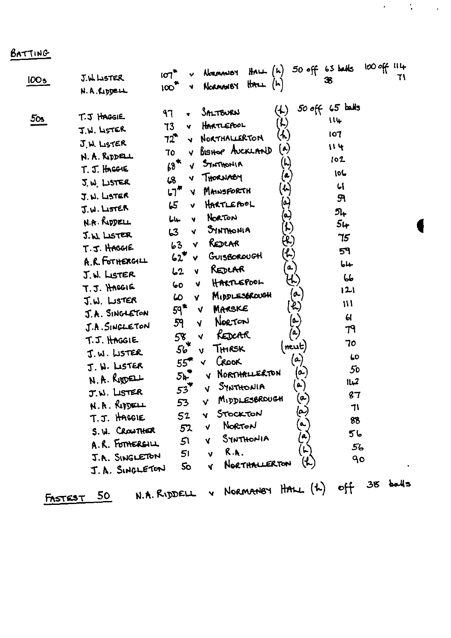### BATTING

| 100 <sub>5</sub> | J.W. LISTER<br>N. A. Ripper                                                                                                                                                                                                                                                                                                                                                                                                                                                   | $50$ off 63 balls<br>$H$ ALL $(h)$<br>NORMANDY<br>107<br>36<br>$\text{H}\text{R}\text{L}\text{L}$ $(\text{h})$<br>V NORMANBY<br>100 <sup>2</sup>                                                                                                                                                                                                                                                                                                                                                                                                                                                                                                                                                                                                                                                                                                                                                                                                                                                                                                                                                                                                                                                                                                                                                                                                                                            | 100 off 114<br>71                                                                                                                                                                               |
|------------------|-------------------------------------------------------------------------------------------------------------------------------------------------------------------------------------------------------------------------------------------------------------------------------------------------------------------------------------------------------------------------------------------------------------------------------------------------------------------------------|---------------------------------------------------------------------------------------------------------------------------------------------------------------------------------------------------------------------------------------------------------------------------------------------------------------------------------------------------------------------------------------------------------------------------------------------------------------------------------------------------------------------------------------------------------------------------------------------------------------------------------------------------------------------------------------------------------------------------------------------------------------------------------------------------------------------------------------------------------------------------------------------------------------------------------------------------------------------------------------------------------------------------------------------------------------------------------------------------------------------------------------------------------------------------------------------------------------------------------------------------------------------------------------------------------------------------------------------------------------------------------------------|-------------------------------------------------------------------------------------------------------------------------------------------------------------------------------------------------|
| 50s              | T.J HAGGIE<br>J.W. LISTER<br>J. H. LISTER<br>N. A. RIDELL<br>$T.5.$ Hoggie<br>J.W. LISTER<br>J. N. LISTER<br>$J.W.$ Lister<br>N.A. RIDDELL<br>J.W. LISTER<br>T.J. HAGGIE<br>A.R. FOTHERGILL<br>J. W. LISTER<br>T.J. HACGIG<br>J.W. LISTER<br>J.A. SINGLETON<br>J.A. SINGLETON<br>T.J. HAGGIE<br>J.W. LISTER<br>J. W. LISTER<br>$N. A.$ Rigger $\perp$<br>J.W. LISTER<br>N. R. RIDELL<br>T.J. HAGGIE<br>S. W. CROWTHER<br>A.R. FOTHERGILL<br>J.A. SINGLETON<br>J. A. SINGLETON | $50$ off $65$ balls<br>$\left(\downarrow\right)$<br><b>SALTBURN</b><br>97<br>$\left( \mathcal{L}\right)$<br>HARTLEPOOL<br>73<br>v<br>_አ)<br>NORTHALLERTON<br>72 -<br>$\blacktriangledown$<br>(م)<br>BISHOP AUCKLAND<br>70<br>v.<br>$\left(\mathsf{L}\right)$<br>$68*$<br>STATHONIA<br>V.<br>$(\bullet)$<br>THORNABY<br>$\overline{18}$<br>v.<br>$\left\langle \cdot \right\rangle$<br>MANSFORTH<br>ເ໗‴<br><b>V</b><br>$\left[ \bullet \right]$<br>HARTLEPOOL<br>65<br>v<br>$\left( \bullet \right)$<br>NORTON<br>لبامأ<br>v<br>$\bm{\mu}$<br>SYNTHONIA<br>63<br>Y.<br>(R)<br>REDLAR<br>63<br><b>V</b><br>そ)<br>GUISBOROUGH<br>62<br><b>V</b><br>$\boldsymbol{a}$<br>REDLAR<br>L2<br>V.<br><u>L)</u><br>HARTLEPOOL<br>V<br>0ما<br>$\sigma$<br>MIDDLESOROUGH<br>S<br>Y.<br>$\mathcal{L}$ )<br>$59^{\circ}$<br>MARSKE<br>$\sqrt{ }$<br>(م)<br>(م)<br>NORTON<br>59<br>$\overline{\mathbf{V}}$<br>REDCAR<br>58<br><b>V</b><br>56<br>$[$ neut $)$<br>THRSK<br>$\mathbf v$<br>$\left( \rho \right)$<br>CROOK<br>$55^{\circ}$<br><b>V</b><br>(a)<br>NORTHRILERTON<br>5 <sub>k</sub><br><b>V</b><br>$\left( \bullet \right)$<br>SYNTHONIA<br>$53^T$<br>V.<br>$\omega$<br>MIDDLESBROUGH<br>53<br>$\mathbf{V}$<br>(م)<br>STOCKTON<br>52<br>Y<br>a.,<br>NORTON<br>V<br>52<br>$\epsilon$<br>SYNTHONIA<br>51<br><b>V</b><br>R.K.<br>51<br>v.<br>$(\mathcal{L})$<br>NORTHALLERTON<br><b>So</b><br><b>V</b> | 114<br>107<br>114<br>102<br>106<br>$\mathcal{L}$<br>59<br>54<br>54<br>75<br>59<br>جاما<br>66<br> 2 <br>$\mathbf{W}$<br>မ<br>79<br>70<br>60<br>50<br>2بناا<br>87<br>71<br>88<br>ما 5<br>56<br>90 |
| FASTEST          | 50                                                                                                                                                                                                                                                                                                                                                                                                                                                                            | N.A. RIDDELL & NORMANSY HALL (2)                                                                                                                                                                                                                                                                                                                                                                                                                                                                                                                                                                                                                                                                                                                                                                                                                                                                                                                                                                                                                                                                                                                                                                                                                                                                                                                                                            | $38$ balls<br>off                                                                                                                                                                               |

 $\label{eq:2} \mathcal{L}(\mathcal{A}) = \mathcal{L}(\mathcal{A}) = \mathcal{L}(\mathcal{A})$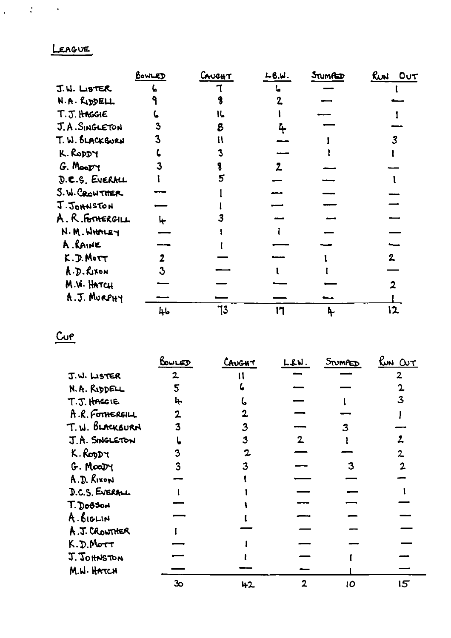### LEAGUE

 $\frac{1}{2} \left( \frac{1}{2} \right) \left( \frac{1}{2} \right) \left( \frac{1}{2} \right)$ 

|                  | BOWLED | CAUCHT | L8. W. | STUMPED | <u>Runi</u><br>OUT |
|------------------|--------|--------|--------|---------|--------------------|
| J.W. LISTER      |        |        |        |         |                    |
| N.A. RIDDELL     |        |        |        |         |                    |
| T.J. HAGGIE      |        |        |        |         |                    |
| J.A. SINGLETON   | 3      |        |        |         |                    |
| T. W. BLACKBURN  |        |        |        |         |                    |
| K. RODDY         |        |        |        |         |                    |
| G. Moopy         |        |        |        |         |                    |
| D.C.S. EVERALL   |        |        |        |         |                    |
| S.W. CROWTHER    |        |        |        |         |                    |
| J. JOHNSTON      |        |        |        |         |                    |
| A. R. FOTHERGILL |        |        |        |         |                    |
| N.M. WHALEY      |        |        |        |         |                    |
| A. RAINE         |        |        |        |         |                    |
| K.D.Mort         |        |        |        |         | 2                  |
| A.D. RIXON       |        |        |        |         |                    |
| M.W. HATCH       |        |        |        |         |                    |
| A.J. MURPHY      |        |        |        |         |                    |
|                  | 46     | 73     | 17     |         | Ι2                 |

 $CuP$ </u>

|                 | BOWLED         | CAUGHT | L.S.W.         | STUMPED | <u>Run OUT</u>  |
|-----------------|----------------|--------|----------------|---------|-----------------|
| J.W. LISTER     | $\overline{2}$ |        |                |         | 2               |
| N.A. RIDDELL    | 5              |        |                |         |                 |
| T.J. HAGGIE     | ┡              |        |                |         |                 |
| A.R. FOTHERSILL |                |        |                |         |                 |
| T.W. BLACKBURN  | 3              |        |                |         |                 |
| J.A. SINGLETON  |                | 3      | $\overline{2}$ |         |                 |
| K. Roopy        |                |        |                |         |                 |
| G. Moatry       |                |        |                |         |                 |
| A.D. RIXON      |                |        |                |         |                 |
| D.C.S. EVERALL  |                |        |                |         |                 |
| T. DoBSON       |                |        |                |         |                 |
| A. BIGLIN       |                |        |                |         |                 |
| A.J. CROWTHER   |                |        |                |         |                 |
| K.D.MOTT        |                |        |                |         |                 |
| J. JOHNSTON     |                |        |                |         |                 |
| M.W. HATCH      |                |        |                |         |                 |
|                 | 30             | 42     |                | IO      | $5\overline{5}$ |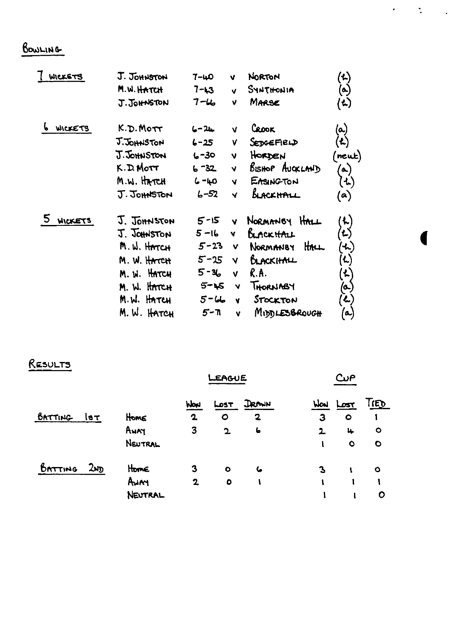## BOWLING

| WICKETS        | J. JOHNSTON                                                                                                                     | 7-40                                                                        | V                                            | <b>NORTON</b>                                                                                                | $\mathbf{A}$                                                                                         |
|----------------|---------------------------------------------------------------------------------------------------------------------------------|-----------------------------------------------------------------------------|----------------------------------------------|--------------------------------------------------------------------------------------------------------------|------------------------------------------------------------------------------------------------------|
|                | M.W. HATCH                                                                                                                      | $7 - 13$                                                                    | $\mathbf{v}$                                 | SYNTHONIA                                                                                                    | $\left( \bullet \right)$                                                                             |
|                | J.JOHNSTON                                                                                                                      | $7 - 4$                                                                     | v                                            | MARSE                                                                                                        | 'ん)                                                                                                  |
| WICKETS        | K.D. MOTT                                                                                                                       | $6 - 24$                                                                    | V                                            | CROOK                                                                                                        | (ما                                                                                                  |
|                | J.JOHNSTON                                                                                                                      | $6 - 25$                                                                    | ٧                                            | SEDGEFIELD                                                                                                   | $\mathbf{(t)}$                                                                                       |
|                | J.JOHNSTON                                                                                                                      | $6 - 30$                                                                    | $\overline{\mathsf{v}}$                      | HORDEN                                                                                                       | (neut)                                                                                               |
|                | $K.D.M$ ott                                                                                                                     | $6 - 32$                                                                    | Ÿ                                            | <b>BISHOP AUCKLAND</b>                                                                                       | (ھ)                                                                                                  |
|                | M.W. HATCH                                                                                                                      | $6 - 40$                                                                    | V                                            | EASING TON                                                                                                   | (1)                                                                                                  |
|                | J.JOHNSTON                                                                                                                      | $6 - 52$                                                                    | V                                            | black h <del>a</del> ll                                                                                      | (a)                                                                                                  |
| <b>WICKETS</b> | J. JOHNSTON<br>J. JOHNSTON<br>M.W. HATCH<br>M. W. HATCH<br>M. W. HATCH<br>M. W. HATCH<br>M.W. H <del>a</del> tch<br>M. W. HATCH | $5 - 15$<br>5-16<br>$5 - 23$<br>5-25<br>$5 - 36$<br>5-15<br>$5 - 66$<br>5-7 | Ÿ.<br><b>V</b><br>v<br>V<br>V<br>Y<br>¥<br>۷ | NORMANBY HALL<br>Bunckithu<br>HALL<br>NORMANBY<br>BLACKHALL<br>R.A.<br>THORNABY<br>STOCKTON<br>MIDDLESBROUGH | ん)<br>゚゙゙゚゚゚゚゚゚<br>′≁)<br>$\mathbf{L})$<br>$\mathbf{r}$<br>(၀.)<br>$\left( \mathbf{L}\right)$<br>(تە |

 $\mathcal{A}=\mathcal{A}^{\mathcal{A}}_{\mathcal{A}}$  ,  $\mathcal{A}$ 

1

# RESULTS

|         |            |         | <b>EAGUE</b> |              | CuP                     |     |              |            |
|---------|------------|---------|--------------|--------------|-------------------------|-----|--------------|------------|
|         |            |         | hlow         | 55هـا        | <b>DRAWN</b>            | Wow | <u>احمرا</u> | <u>IED</u> |
| BATTING | <b>IST</b> | Home    | $\mathbf 2$  | $\circ$      | $\overline{\mathbf{2}}$ | 3   | $\bullet$    |            |
|         |            | AWAY    | 3            | $\mathbf{z}$ | $\epsilon$              | 2   | 4            | $\circ$    |
|         |            | NEUTRAL |              |              |                         |     | $\circ$      | $\circ$    |
| BATTING | ್ರಾಗ       | Home    | 3            | $\bullet$    | ے                       | 3   |              | $\circ$    |
|         |            | Aum     | $\mathbf{2}$ | $\bullet$    |                         |     |              |            |
|         |            | NEUTRAL |              |              |                         |     |              | O          |
|         |            |         |              |              |                         |     |              |            |